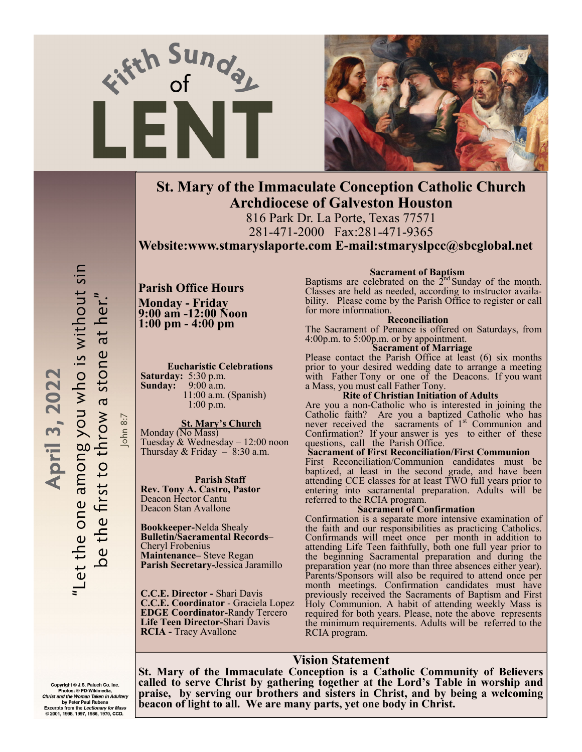



# **St. Mary of the Immaculate Conception Catholic Church Archdiocese of Galveston Houston**

816 Park Dr. La Porte, Texas 77571 281-471-2000 Fax:281-471-9365

**Website:www.stmaryslaporte.com E-mail:stmaryslpcc@sbcglobal.net**

# "Let the one among you who is without sin be the first to throw a stone at her." April 3, 2022 John 8:7

**Parish Office Hours Monday - Friday 9:00 am -12:00 Noon 1:00 pm - 4:00 pm** 

**Eucharistic Celebrations Saturday:** 5:30 p.m. **Sunday:** 9:00 a.m. 11:00 a.m. (Spanish) 1:00 p.m.

#### **St. Mary's Church**

Monday (No Mass) Tuesday & Wednesday – 12:00 noon Thursday & Friday  $-$  8:30 a.m.

#### **Parish Staff**

**Rev. Tony A. Castro, Pastor**  Deacon Hector Cantu Deacon Stan Avallone

**Bookkeeper-**Nelda Shealy **Bulletin/Sacramental Records**– Cheryl Frobenius **Maintenance–** Steve Regan **Parish Secretary-**Jessica Jaramillo

**C.C.E. Director -** Shari Davis **C.C.E. Coordinator** - Graciela Lopez **EDGE Coordinator-**Randy Tercero **Life Teen Director-**Shari Davis **RCIA -** Tracy Avallone

#### *Sacrament of Baptism*

Baptisms are celebrated on the  $2<sup>nd</sup>$  Sunday of the month. Classes are held as needed, according to instructor availability. Please come by the Parish Office to register or call for more information.

#### **Reconciliation**

The Sacrament of Penance is offered on Saturdays, from 4:00p.m. to 5:00p.m. or by appointment.

#### **Sacrament of Marriage**

Please contact the Parish Office at least (6) six months prior to your desired wedding date to arrange a meeting with Father Tony or one of the Deacons. If you want a Mass, you must call Father Tony.

#### **Rite of Christian Initiation of Adults**

Are you a non-Catholic who is interested in joining the Catholic faith? Are you a baptized Catholic who has never received the sacraments of 1<sup>st</sup> Communion and Confirmation? If your answer is yes to either of these questions, call the Parish Office.

#### **Sacrament of First Reconciliation/First Communion**

First Reconciliation/Communion candidates must be baptized, at least in the second grade, and have been attending CCE classes for at least TWO full years prior to entering into sacramental preparation. Adults will be referred to the RCIA program.

#### **Sacrament of Confirmation**

Confirmation is a separate more intensive examination of the faith and our responsibilities as practicing Catholics. Confirmands will meet once per month in addition to attending Life Teen faithfully, both one full year prior to the beginning Sacramental preparation and during the preparation year (no more than three absences either year). Parents/Sponsors will also be required to attend once per month meetings. Confirmation candidates must have previously received the Sacraments of Baptism and First Holy Communion. A habit of attending weekly Mass is required for both years. Please, note the above represents the minimum requirements. Adults will be referred to the RCIA program.

#### **Vision Statement**

**St. Mary of the Immaculate Conception is a Catholic Community of Believers called to serve Christ by gathering together at the Lord's Table in worship and praise, by serving our brothers and sisters in Christ, and by being a welcoming beacon of light to all. We are many parts, yet one body in Christ.** 

Copyright © J.S. Paluch Co. Inc.<br>Photos: © PD-Wikimedia, Christ and the Woman Taken in Adultery<br>by Peter Paul Rubens **Excerpts from the Lectionary for Mass** @ 2001, 1998, 1997, 1986, 1970, CCD.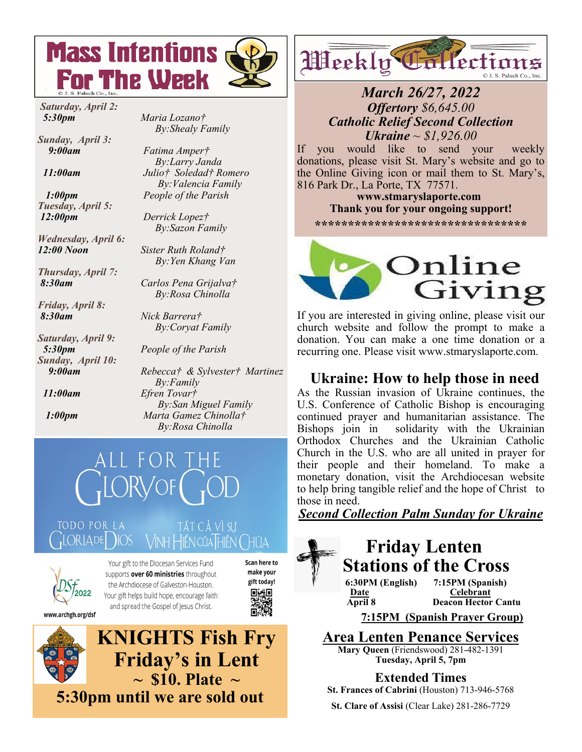

 *Saturday, April 2: 5:30pm Maria Lozano†* 

*Sunday, April 3: 9:00am Fatima Amper†* 

*Tuesday, April 5: 12:00pm Derrick Lopez†* 

*Wednesday, April 6:* 

*Thursday, April 7:* 

*Friday, April 8: 8:30am Nick Barrera†* 

*Saturday, April 9: Sunday, April 10:* 

 *By:Shealy Family* 

 *By:Larry Janda 11:00am Julio† Soledad† Romero By:Valencia Family 1:00pm People of the Parish*

 *By:Sazon Family*

*12:00 Noon Sister Ruth Roland† By:Yen Khang Van*

 *8:30am Carlos Pena Grijalva† By:Rosa Chinolla* 

 *By:Coryat Family*

 *5:30pm People of the Parish* 

 *9:00am Rebecca† & Sylvester† Martinez By:Family 11:00am Efren Tovar† By:San Miguel Family 1:00pm Marta Gamez Chinolla† By:Rosa Chinolla* 





Your gift to the Diocesan Services Fund supports over 60 ministries throughout the Archdiocese of Galveston-Houston. Your gift helps build hope, encourage faith and spread the Gospel of Jesus Christ.



łÜА

-SUI



Weekly Tallection © J. S. Paluch Co., Inc.

# *March 26/27, 2022 Offertory \$6,645.00 Catholic Relief Second Collection Ukraine ~ \$1,926.00*

If you would like to send your weekly donations, please visit St. Mary's website and go to the Online Giving icon or mail them to St. Mary's, 816 Park Dr., La Porte, TX 77571.

 **www.stmaryslaporte.com Thank you for your ongoing support!**

**\*\*\*\*\*\*\*\*\*\*\*\*\*\*\*\*\*\*\*\*\*\*\*\*\*\*\*\*\*\*\*\*** 



If you are interested in giving online, please visit our church website and follow the prompt to make a donation. You can make a one time donation or a recurring one. Please visit www.stmaryslaporte.com.

# **Ukraine: How to help those in need**

As the Russian invasion of Ukraine continues, the U.S. Conference of Catholic Bishop is encouraging continued prayer and humanitarian assistance. The Bishops join in solidarity with the Ukrainian Orthodox Churches and the Ukrainian Catholic Church in the U.S. who are all united in prayer for their people and their homeland. To make a monetary donation, visit the Archdiocesan website to help bring tangible relief and the hope of Christ to those in need.

*Second Collection Palm Sunday for Ukraine* 

# **Friday Lenten Stations of the Cross 6:30PM (English) 7:15PM (Spanish) <u>Date</u>**<br> **April 8 Deacon Hector Deacon Hector Cantu**

**7:15PM (Spanish Prayer Group)** 

**Area Lenten Penance Services**

**Mary Queen** (Friendswood) 281-482-1391 **Tuesday, April 5, 7pm** 

**Extended Times** 

**St. Frances of Cabrini** (Houston) 713-946-5768

**St. Clare of Assisi** (Clear Lake) 281-286-7729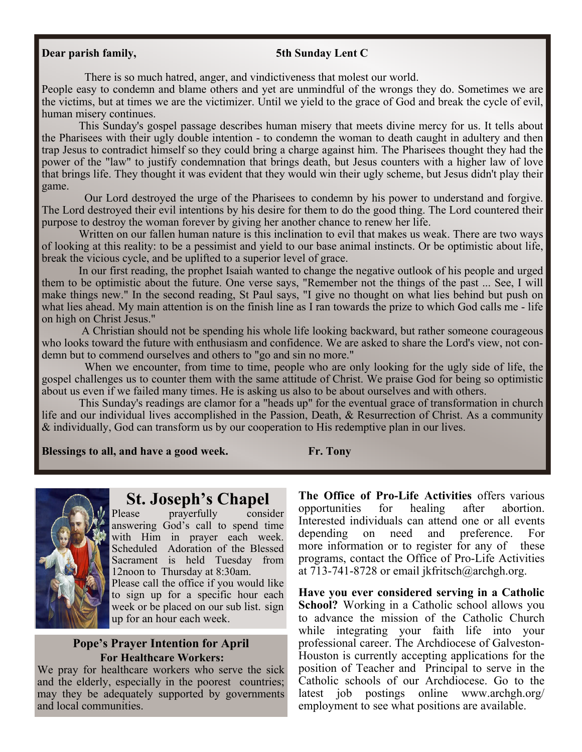#### **Dear parish family,** 5th Sunday Lent C

There is so much hatred, anger, and vindictiveness that molest our world.

People easy to condemn and blame others and yet are unmindful of the wrongs they do. Sometimes we are the victims, but at times we are the victimizer. Until we yield to the grace of God and break the cycle of evil, human misery continues.

 This Sunday's gospel passage describes human misery that meets divine mercy for us. It tells about the Pharisees with their ugly double intention - to condemn the woman to death caught in adultery and then trap Jesus to contradict himself so they could bring a charge against him. The Pharisees thought they had the power of the "law" to justify condemnation that brings death, but Jesus counters with a higher law of love that brings life. They thought it was evident that they would win their ugly scheme, but Jesus didn't play their game.

 Our Lord destroyed the urge of the Pharisees to condemn by his power to understand and forgive. The Lord destroyed their evil intentions by his desire for them to do the good thing. The Lord countered their purpose to destroy the woman forever by giving her another chance to renew her life.

 Written on our fallen human nature is this inclination to evil that makes us weak. There are two ways of looking at this reality: to be a pessimist and yield to our base animal instincts. Or be optimistic about life, break the vicious cycle, and be uplifted to a superior level of grace.

 In our first reading, the prophet Isaiah wanted to change the negative outlook of his people and urged them to be optimistic about the future. One verse says, "Remember not the things of the past ... See, I will make things new." In the second reading, St Paul says, "I give no thought on what lies behind but push on what lies ahead. My main attention is on the finish line as I ran towards the prize to which God calls me - life on high on Christ Jesus."

 A Christian should not be spending his whole life looking backward, but rather someone courageous who looks toward the future with enthusiasm and confidence. We are asked to share the Lord's view, not condemn but to commend ourselves and others to "go and sin no more."

When we encounter, from time to time, people who are only looking for the ugly side of life, the gospel challenges us to counter them with the same attitude of Christ. We praise God for being so optimistic about us even if we failed many times. He is asking us also to be about ourselves and with others.

 This Sunday's readings are clamor for a "heads up" for the eventual grace of transformation in church life and our individual lives accomplished in the Passion, Death, & Resurrection of Christ. As a community & individually, God can transform us by our cooperation to His redemptive plan in our lives.

**Blessings to all, and have a good week. Fr. Tony** 



# **St. Joseph's Chapel**<br>Please praverfully consider

prayerfully answering God's call to spend time with Him in prayer each week. Scheduled Adoration of the Blessed Sacrament is held Tuesday from 12noon to Thursday at 8:30am.

Please call the office if you would like to sign up for a specific hour each week or be placed on our sub list. sign up for an hour each week.

#### **Pope's Prayer Intention for April For Healthcare Workers:**

We pray for healthcare workers who serve the sick and the elderly, especially in the poorest countries; may they be adequately supported by governments and local communities.

**The Office of Pro-Life Activities** offers various opportunities for healing after abortion. Interested individuals can attend one or all events depending on need and preference. For more information or to register for any of these programs, contact the Office of Pro-Life Activities at 713-741-8728 or email jkfritsch@archgh.org.

**Have you ever considered serving in a Catholic School?** Working in a Catholic school allows you to advance the mission of the Catholic Church while integrating your faith life into your professional career. The Archdiocese of Galveston-Houston is currently accepting applications for the position of Teacher and Principal to serve in the Catholic schools of our Archdiocese. Go to the latest job postings online www.archgh.org/ employment to see what positions are available.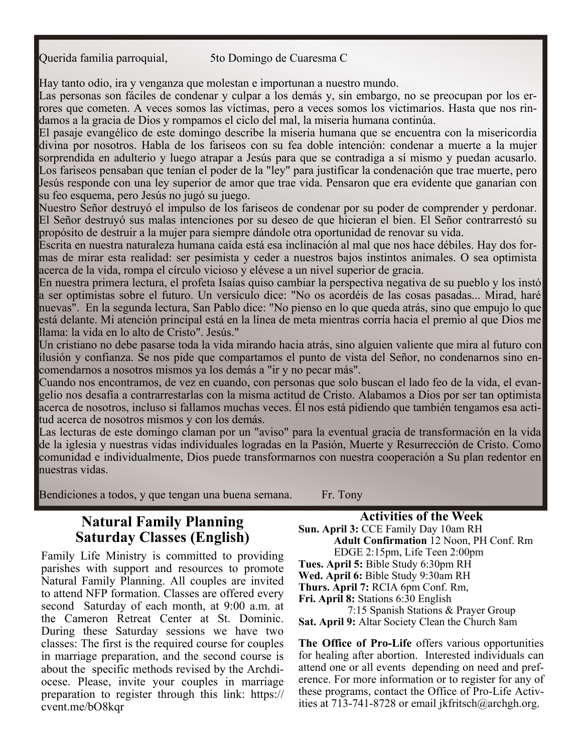Querida familia parroquial, 5to Domingo de Cuaresma C

Hay tanto odio, ira y venganza que molestan e importunan a nuestro mundo.

Las personas son fáciles de condenar y culpar a los demás y, sin embargo, no se preocupan por los errores que cometen. A veces somos las víctimas, pero a veces somos los victimarios. Hasta que nos rindamos a la gracia de Dios y rompamos el ciclo del mal, la miseria humana continúa.

El pasaje evangélico de este domingo describe la miseria humana que se encuentra con la misericordia divina por nosotros. Habla de los fariseos con su fea doble intención: condenar a muerte a la mujer sorprendida en adulterio y luego atrapar a Jesús para que se contradiga a sí mismo y puedan acusarlo. Los fariseos pensaban que tenían el poder de la "ley" para justificar la condenación que trae muerte, pero Jesús responde con una ley superior de amor que trae vida. Pensaron que era evidente que ganarían con su feo esquema, pero Jesús no jugó su juego.

Nuestro Señor destruyó el impulso de los fariseos de condenar por su poder de comprender y perdonar. El Señor destruyó sus malas intenciones por su deseo de que hicieran el bien. El Señor contrarrestó su propósito de destruir a la mujer para siempre dándole otra oportunidad de renovar su vida.

Escrita en nuestra naturaleza humana caída está esa inclinación al mal que nos hace débiles. Hay dos formas de mirar esta realidad: ser pesimista y ceder a nuestros bajos instintos animales. O sea optimista acerca de la vida, rompa el círculo vicioso y elévese a un nivel superior de gracia.

En nuestra primera lectura, el profeta Isaías quiso cambiar la perspectiva negativa de su pueblo y los instó a ser optimistas sobre el futuro. Un versículo dice: "No os acordéis de las cosas pasadas... Mirad, haré nuevas". En la segunda lectura, San Pablo dice: "No pienso en lo que queda atrás, sino que empujo lo que está delante. Mi atención principal está en la línea de meta mientras corría hacia el premio al que Dios me llama: la vida en lo alto de Cristo". Jesús."

Un cristiano no debe pasarse toda la vida mirando hacia atrás, sino alguien valiente que mira al futuro con ilusión y confianza. Se nos pide que compartamos el punto de vista del Señor, no condenarnos sino encomendarnos a nosotros mismos ya los demás a "ir y no pecar más".

Cuando nos encontramos, de vez en cuando, con personas que solo buscan el lado feo de la vida, el evangelio nos desafía a contrarrestarlas con la misma actitud de Cristo. Alabamos a Dios por ser tan optimista acerca de nosotros, incluso si fallamos muchas veces. Él nos está pidiendo que también tengamos esa actitud acerca de nosotros mismos y con los demás.

Las lecturas de este domingo claman por un "aviso" para la eventual gracia de transformación en la vida de la iglesia y nuestras vidas individuales logradas en la Pasión, Muerte y Resurrección de Cristo. Como comunidad e individualmente, Dios puede transformarnos con nuestra cooperación a Su plan redentor en nuestras vidas.

Bendiciones a todos, y que tengan una buena semana. Fr. Tony

**Natural Family Planning Saturday Classes (English)** 

Family Life Ministry is committed to providing parishes with support and resources to promote Natural Family Planning. All couples are invited to attend NFP formation. Classes are offered every second Saturday of each month, at 9:00 a.m. at the Cameron Retreat Center at St. Dominic. During these Saturday sessions we have two classes: The first is the required course for couples in marriage preparation, and the second course is about the specific methods revised by the Archdiocese. Please, invite your couples in marriage preparation to register through this link: https:// cvent.me/bO8kqr

**Activities of the Week** 

**Sun. April 3:** CCE Family Day 10am RH  **Adult Confirmation** 12 Noon, PH Conf. Rm EDGE 2:15pm, Life Teen 2:00pm **Tues. April 5:** Bible Study 6:30pm RH **Wed. April 6:** Bible Study 9:30am RH **Thurs. April 7:** RCIA 6pm Conf. Rm, **Fri. April 8:** Stations 6:30 English 7:15 Spanish Stations & Prayer Group **Sat. April 9:** Altar Society Clean the Church 8am

**The Office of Pro-Life** offers various opportunities for healing after abortion. Interested individuals can attend one or all events depending on need and preference. For more information or to register for any of these programs, contact the Office of Pro-Life Activities at 713-741-8728 or email jkfritsch@archgh.org.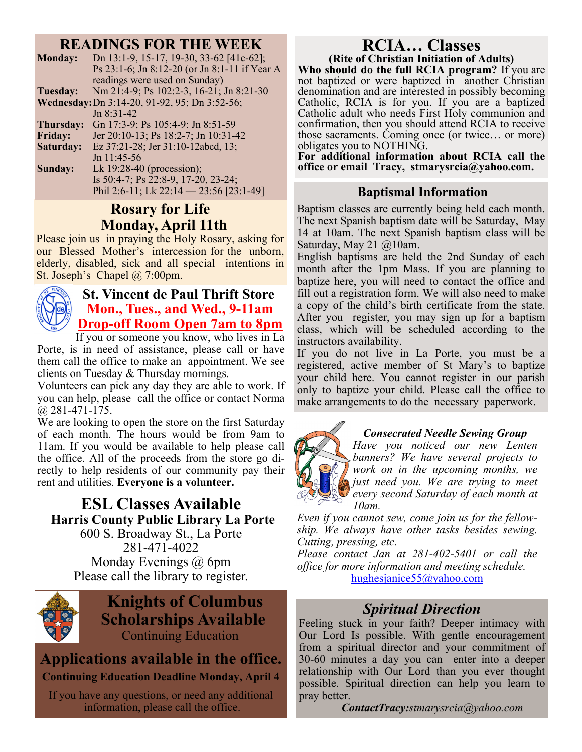# **READINGS FOR THE WEEK**

| <b>Monday:</b> | Dn 13:1-9, 15-17, 19-30, 33-62 [41c-62];<br>Ps 23:1-6; Jn 8:12-20 (or Jn 8:1-11 if Year A |
|----------------|-------------------------------------------------------------------------------------------|
|                | readings were used on Sunday)                                                             |
| Tuesday:       | Nm 21:4-9; Ps 102:2-3, 16-21; Jn 8:21-30                                                  |
|                | Wednesday: Dn 3:14-20, 91-92, 95; Dn 3:52-56;                                             |
|                | $Jn$ 8:31-42                                                                              |
| Thursday:      | Gn 17:3-9; Ps 105:4-9: Jn 8:51-59                                                         |
| <b>Friday:</b> | Jer 20:10-13; Ps 18:2-7; Jn 10:31-42                                                      |
| Saturday:      | Ez 37:21-28; Jer 31:10-12abcd, 13;                                                        |
|                | Jn $11:45-56$                                                                             |
| Sunday:        | Lk $19:28-40$ (procession);                                                               |
|                | Is 50:4-7; Ps 22:8-9, 17-20, 23-24;                                                       |
|                | Phil 2:6-11; Lk 22:14 - 23:56 [23:1-49]                                                   |
|                |                                                                                           |

# **Rosary for Life Monday, April 11th**

Please join us in praying the Holy Rosary, asking for our Blessed Mother's intercession for the unborn, elderly, disabled, sick and all special intentions in St. Joseph's Chapel @ 7:00pm.



# **St. Vincent de Paul Thrift Store Mon., Tues., and Wed., 9-11am Drop-off Room Open 7am to 8pm**

If you or someone you know, who lives in La

Porte, is in need of assistance, please call or have them call the office to make an appointment. We see clients on Tuesday & Thursday mornings.

Volunteers can pick any day they are able to work. If you can help, please call the office or contact Norma  $(a)$  281-471-175.

We are looking to open the store on the first Saturday of each month. The hours would be from 9am to 11am. If you would be available to help please call the office. All of the proceeds from the store go directly to help residents of our community pay their rent and utilities. **Everyone is a volunteer.** 

# **ESL Classes Available Harris County Public Library La Porte**

600 S. Broadway St., La Porte 281-471-4022 Monday Evenings @ 6pm Please call the library to register.



# **Knights of Columbus Scholarships Available**  Continuing Education

# **Applications available in the office.**

# **Continuing Education Deadline Monday, April 4**

If you have any questions, or need any additional information, please call the office.

# **RCIA… Classes (Rite of Christian Initiation of Adults)**

**Who should do the full RCIA program?** If you are not baptized or were baptized in another Christian denomination and are interested in possibly becoming Catholic, RCIA is for you. If you are a baptized Catholic adult who needs First Holy communion and confirmation, then you should attend RCIA to receive those sacraments. Coming once (or twice… or more) obligates you to NOTHING.

**For additional information about RCIA call the office or email Tracy, stmarysrcia@yahoo.com.** 

# **Baptismal Information**

Baptism classes are currently being held each month. The next Spanish baptism date will be Saturday, May 14 at 10am. The next Spanish baptism class will be Saturday, May 21 @10am.

English baptisms are held the 2nd Sunday of each month after the 1pm Mass. If you are planning to baptize here, you will need to contact the office and fill out a registration form. We will also need to make a copy of the child's birth certificate from the state. After you register, you may sign up for a baptism class, which will be scheduled according to the instructors availability.

If you do not live in La Porte, you must be a registered, active member of St Mary's to baptize your child here. You cannot register in our parish only to baptize your child. Please call the office to make arrangements to do the necessary paperwork.



## *Consecrated Needle Sewing Group*

*Have you noticed our new Lenten banners? We have several projects to work on in the upcoming months, we just need you. We are trying to meet every second Saturday of each month at 10am.* 

*Even if you cannot sew, come join us for the fellowship. We always have other tasks besides sewing. Cutting, pressing, etc.* 

*Please contact Jan at 281-402-5401 or call the office for more information and meeting schedule.*  hughesjanice55@yahoo.com

# *Spiritual Direction*

Feeling stuck in your faith? Deeper intimacy with Our Lord Is possible. With gentle encouragement from a spiritual director and your commitment of 30-60 minutes a day you can enter into a deeper relationship with Our Lord than you ever thought possible. Spiritual direction can help you learn to pray better.

 *ContactTracy:stmarysrcia@yahoo.com*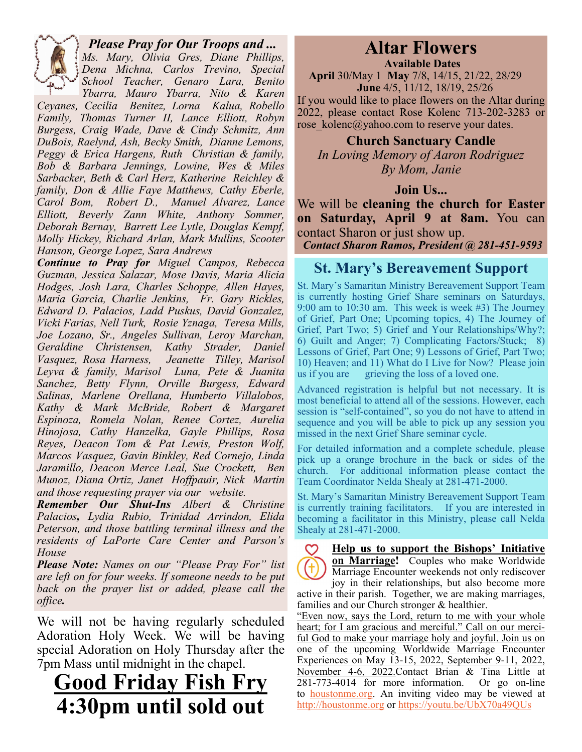

# *Please Pray for Our Troops and ...*

*Ms. Mary, Olivia Gres, Diane Phillips, Dena Michna, Carlos Trevino, Special School Teacher, Genaro Lara, Benito Ybarra, Mauro Ybarra, Nito & Karen* 

*Ceyanes, Cecilia Benitez, Lorna Kalua, Robello Family, Thomas Turner II, Lance Elliott, Robyn Burgess, Craig Wade, Dave & Cindy Schmitz, Ann DuBois, Raelynd, Ash, Becky Smith, Dianne Lemons, Peggy & Erica Hargens, Ruth Christian & family, Bob & Barbara Jennings, Lowine, Wes & Miles Sarbacker, Beth & Carl Herz, Katherine Reichley & family, Don & Allie Faye Matthews, Cathy Eberle, Carol Bom, Robert D., Manuel Alvarez, Lance Elliott, Beverly Zann White, Anthony Sommer, Deborah Bernay, Barrett Lee Lytle, Douglas Kempf, Molly Hickey, Richard Arlan, Mark Mullins, Scooter Hanson, George Lopez, Sara Andrews* 

*Continue to Pray for Miguel Campos, Rebecca Guzman, Jessica Salazar, Mose Davis, Maria Alicia Hodges, Josh Lara, Charles Schoppe, Allen Hayes, Maria Garcia, Charlie Jenkins, Fr. Gary Rickles, Edward D. Palacios, Ladd Puskus, David Gonzalez, Vicki Farias, Nell Turk, Rosie Yznaga, Teresa Mills, Joe Lozano, Sr., Angeles Sullivan, Leroy Marchan, Geraldine Christensen, Kathy Strader, Daniel Vasquez, Rosa Harness, Jeanette Tilley, Marisol Leyva & family, Marisol Luna, Pete & Juanita Sanchez, Betty Flynn, Orville Burgess, Edward Salinas, Marlene Orellana, Humberto Villalobos, Kathy & Mark McBride, Robert & Margaret Espinoza, Romela Nolan, Renee Cortez, Aurelia Hinojosa, Cathy Hanzelka, Gayle Phillips, Rosa Reyes, Deacon Tom & Pat Lewis, Preston Wolf, Marcos Vasquez, Gavin Binkley, Red Cornejo, Linda Jaramillo, Deacon Merce Leal, Sue Crockett, Ben Munoz, Diana Ortiz, Janet Hoffpauir, Nick Martin and those requesting prayer via our website.* 

*Remember Our Shut-Ins Albert & Christine Palacios, Lydia Rubio, Trinidad Arrindon, Elida Peterson, and those battling terminal illness and the residents of LaPorte Care Center and Parson's House* 

*Please Note: Names on our "Please Pray For" list are left on for four weeks. If someone needs to be put back on the prayer list or added, please call the office.* 

We will not be having regularly scheduled Adoration Holy Week. We will be having special Adoration on Holy Thursday after the 7pm Mass until midnight in the chapel.

# **Good Friday Fish Fry 4:30pm until sold out**

# **Altar Flowers**

 **Available Dates**

 **April** 30/May 1 **May** 7/8, 14/15, 21/22, 28/29  **June** 4/5, 11/12, 18/19, 25/26 If you would like to place flowers on the Altar during

2022, please contact Rose Kolenc 713-202-3283 or rose kolenc@yahoo.com to reserve your dates.

**Church Sanctuary Candle** 

*In Loving Memory of Aaron Rodriguez By Mom, Janie* 

## **Join Us...**

We will be **cleaning the church for Easter on Saturday, April 9 at 8am.** You can contact Sharon or just show up.

*Contact Sharon Ramos, President @ 281-451-9593* 

# **St. Mary's Bereavement Support**

St. Mary's Samaritan Ministry Bereavement Support Team is currently hosting Grief Share seminars on Saturdays, 9:00 am to 10:30 am. This week is week #3) The Journey of Grief, Part One; Upcoming topics, 4) The Journey of Grief, Part Two; 5) Grief and Your Relationships/Why?; 6) Guilt and Anger; 7) Complicating Factors/Stuck; 8) Lessons of Grief, Part One; 9) Lessons of Grief, Part Two; 10) Heaven; and 11) What do I Live for Now? Please join us if you are grieving the loss of a loved one.

Advanced registration is helpful but not necessary. It is most beneficial to attend all of the sessions. However, each session is "self-contained", so you do not have to attend in sequence and you will be able to pick up any session you missed in the next Grief Share seminar cycle.

For detailed information and a complete schedule, please pick up a orange brochure in the back or sides of the church. For additional information please contact the Team Coordinator Nelda Shealy at 281-471-2000.

St. Mary's Samaritan Ministry Bereavement Support Team is currently training facilitators. If you are interested in becoming a facilitator in this Ministry, please call Nelda Shealy at 281-471-2000.

**Help us to support the Bishops' Initiative on Marriage!** Couples who make Worldwide Marriage Encounter weekends not only rediscover joy in their relationships, but also become more

active in their parish. Together, we are making marriages, families and our Church stronger & healthier.

"Even now, says the Lord, return to me with your whole heart; for I am gracious and merciful." Call on our merciful God to make your marriage holy and joyful. Join us on one of the upcoming Worldwide Marriage Encounter Experiences on May 13-15, 2022, September 9-11, 2022, November 4-6, 2022.Contact Brian & Tina Little at 281-773-4014 for more information. Or go on-line to **houstonme.org**. An inviting video may be viewed at http://houstonme.org or https://youtu.be/UbX70a49QUs